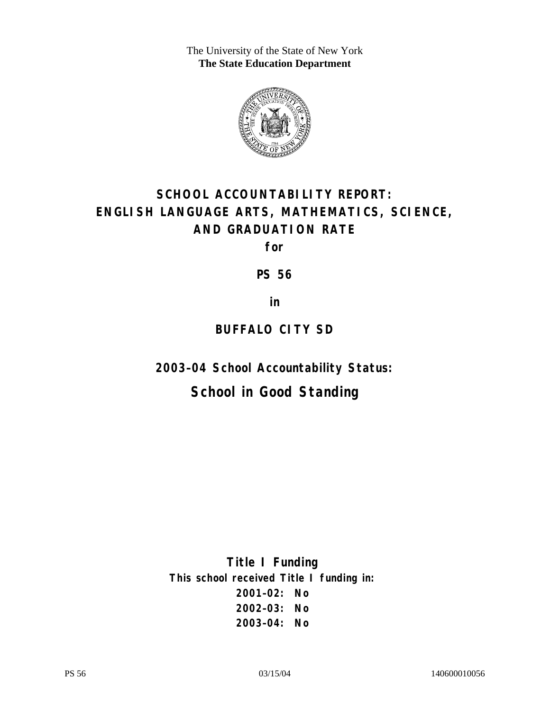The University of the State of New York **The State Education Department** 



# **SCHOOL ACCOUNTABILITY REPORT: ENGLISH LANGUAGE ARTS, MATHEMATICS, SCIENCE, AND GRADUATION RATE**

**for** 

**PS 56** 

**in** 

### **BUFFALO CITY SD**

**2003–04 School Accountability Status:** 

## **School in Good Standing**

**Title I Funding This school received Title I funding in: 2001–02: No 2002–03: No 2003–04: No**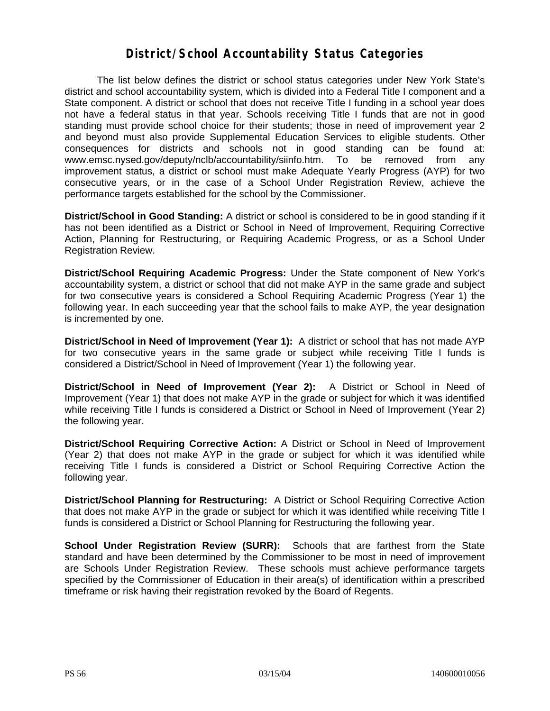#### **District/School Accountability Status Categories**

The list below defines the district or school status categories under New York State's district and school accountability system, which is divided into a Federal Title I component and a State component. A district or school that does not receive Title I funding in a school year does not have a federal status in that year. Schools receiving Title I funds that are not in good standing must provide school choice for their students; those in need of improvement year 2 and beyond must also provide Supplemental Education Services to eligible students. Other consequences for districts and schools not in good standing can be found at: www.emsc.nysed.gov/deputy/nclb/accountability/siinfo.htm. To be removed from any improvement status, a district or school must make Adequate Yearly Progress (AYP) for two consecutive years, or in the case of a School Under Registration Review, achieve the performance targets established for the school by the Commissioner.

**District/School in Good Standing:** A district or school is considered to be in good standing if it has not been identified as a District or School in Need of Improvement, Requiring Corrective Action, Planning for Restructuring, or Requiring Academic Progress, or as a School Under Registration Review.

**District/School Requiring Academic Progress:** Under the State component of New York's accountability system, a district or school that did not make AYP in the same grade and subject for two consecutive years is considered a School Requiring Academic Progress (Year 1) the following year. In each succeeding year that the school fails to make AYP, the year designation is incremented by one.

**District/School in Need of Improvement (Year 1):** A district or school that has not made AYP for two consecutive years in the same grade or subject while receiving Title I funds is considered a District/School in Need of Improvement (Year 1) the following year.

**District/School in Need of Improvement (Year 2):** A District or School in Need of Improvement (Year 1) that does not make AYP in the grade or subject for which it was identified while receiving Title I funds is considered a District or School in Need of Improvement (Year 2) the following year.

**District/School Requiring Corrective Action:** A District or School in Need of Improvement (Year 2) that does not make AYP in the grade or subject for which it was identified while receiving Title I funds is considered a District or School Requiring Corrective Action the following year.

**District/School Planning for Restructuring:** A District or School Requiring Corrective Action that does not make AYP in the grade or subject for which it was identified while receiving Title I funds is considered a District or School Planning for Restructuring the following year.

**School Under Registration Review (SURR):** Schools that are farthest from the State standard and have been determined by the Commissioner to be most in need of improvement are Schools Under Registration Review. These schools must achieve performance targets specified by the Commissioner of Education in their area(s) of identification within a prescribed timeframe or risk having their registration revoked by the Board of Regents.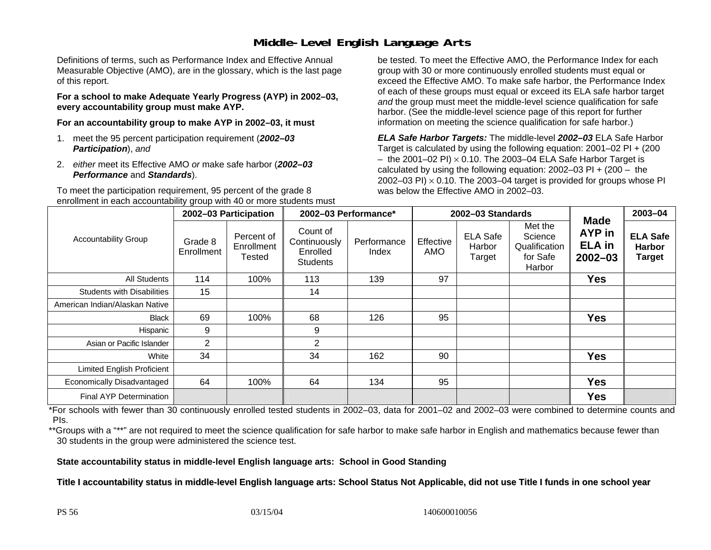### **Middle-Level English Language Arts**

Definitions of terms, such as Performance Index and Effective Annual Measurable Objective (AMO), are in the glossary, which is the last page of this report.

**For a school to make Adequate Yearly Progress (AYP) in 2002–03, every accountability group must make AYP.** 

**For an accountability group to make AYP in 2002–03, it must** 

- 1. meet the 95 percent participation requirement (*2002–03 Participation*), *and*
- 2. *either* meet its Effective AMO *or* make safe harbor (*2002–03 Performance* and *Standards*).

To meet the participation requirement, 95 percent of the grade 8 enrollment in each accountability group with 40 or more students must

be tested. To meet the Effective AMO, the Performance Index for each group with 30 or more continuously enrolled students must equal or exceed the Effective AMO. To make safe harbor, the Performance Index of each of these groups must equal or exceed its ELA safe harbor target *and* the group must meet the middle-level science qualification for safe harbor. (See the middle-level science page of this report for further information on meeting the science qualification for safe harbor.)

*ELA Safe Harbor Targets:* The middle-level *2002–03* ELA Safe Harbor Target is calculated by using the following equation: 2001–02 PI + (200  $-$  the 2001–02 PI)  $\times$  0.10. The 2003–04 ELA Safe Harbor Target is  $\,$ calculated by using the following equation:  $2002-03$  PI +  $(200 -$  the 2002–03 PI)  $\times$  0.10. The 2003–04 target is provided for groups whose PI was below the Effective AMO in 2002–03.

| <b>Accountability Group</b>       | 2002-03 Participation |                                    | 2002-03 Performance*                                    |                      | 2002-03 Standards |                                     |                                                           |                                                       | 2003-04                                           |
|-----------------------------------|-----------------------|------------------------------------|---------------------------------------------------------|----------------------|-------------------|-------------------------------------|-----------------------------------------------------------|-------------------------------------------------------|---------------------------------------------------|
|                                   | Grade 8<br>Enrollment | Percent of<br>Enrollment<br>Tested | Count of<br>Continuously<br>Enrolled<br><b>Students</b> | Performance<br>Index | Effective<br>AMO  | <b>ELA Safe</b><br>Harbor<br>Target | Met the<br>Science<br>Qualification<br>for Safe<br>Harbor | <b>Made</b><br>AYP in<br><b>ELA</b> in<br>$2002 - 03$ | <b>ELA Safe</b><br><b>Harbor</b><br><b>Target</b> |
| <b>All Students</b>               | 114                   | 100%                               | 113                                                     | 139                  | 97                |                                     |                                                           | <b>Yes</b>                                            |                                                   |
| <b>Students with Disabilities</b> | 15                    |                                    | 14                                                      |                      |                   |                                     |                                                           |                                                       |                                                   |
| American Indian/Alaskan Native    |                       |                                    |                                                         |                      |                   |                                     |                                                           |                                                       |                                                   |
| <b>Black</b>                      | 69                    | 100%                               | 68                                                      | 126                  | 95                |                                     |                                                           | <b>Yes</b>                                            |                                                   |
| Hispanic                          | 9                     |                                    | 9                                                       |                      |                   |                                     |                                                           |                                                       |                                                   |
| Asian or Pacific Islander         | $\overline{2}$        |                                    | $\overline{2}$                                          |                      |                   |                                     |                                                           |                                                       |                                                   |
| White                             | 34                    |                                    | 34                                                      | 162                  | 90                |                                     |                                                           | <b>Yes</b>                                            |                                                   |
| <b>Limited English Proficient</b> |                       |                                    |                                                         |                      |                   |                                     |                                                           |                                                       |                                                   |
| Economically Disadvantaged        | 64                    | 100%                               | 64                                                      | 134                  | 95                |                                     |                                                           | <b>Yes</b>                                            |                                                   |
| <b>Final AYP Determination</b>    |                       |                                    |                                                         |                      |                   |                                     |                                                           | <b>Yes</b>                                            |                                                   |

\*For schools with fewer than 30 continuously enrolled tested students in 2002–03, data for 2001–02 and 2002–03 were combined to determine counts and PIs.

\*\*Groups with a "\*\*" are not required to meet the science qualification for safe harbor to make safe harbor in English and mathematics because fewer than 30 students in the group were administered the science test.

**State accountability status in middle-level English language arts: School in Good Standing** 

Title I accountability status in middle-level English language arts: School Status Not Applicable, did not use Title I funds in one school year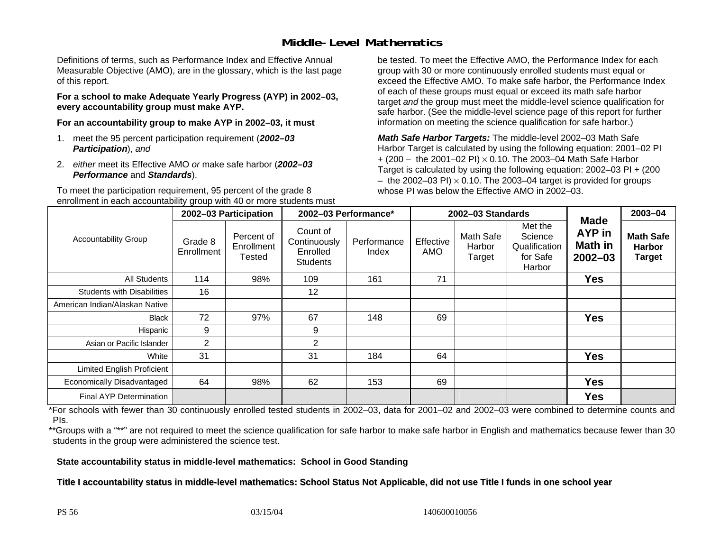#### **Middle-Level Mathematics**

Definitions of terms, such as Performance Index and Effective Annual Measurable Objective (AMO), are in the glossary, which is the last page of this report.

**For a school to make Adequate Yearly Progress (AYP) in 2002–03, every accountability group must make AYP.** 

**For an accountability group to make AYP in 2002–03, it must** 

- 1. meet the 95 percent participation requirement (*2002–03 Participation*), *and*
- 2. *either* meet its Effective AMO *or* make safe harbor (*2002–03 Performance* and *Standards*).

To meet the participation requirement, 95 percent of the grade 8 enrollment in each accountability group with 40 or more students must be tested. To meet the Effective AMO, the Performance Index for each group with 30 or more continuously enrolled students must equal or exceed the Effective AMO. To make safe harbor, the Performance Index of each of these groups must equal or exceed its math safe harbor target *and* the group must meet the middle-level science qualification for safe harbor. (See the middle-level science page of this report for further information on meeting the science qualification for safe harbor.)

*Math Safe Harbor Targets:* The middle-level 2002–03 Math Safe Harbor Target is calculated by using the following equation: 2001–02 PI + (200 – the 2001–02 PI) × 0.10. The 2003–04 Math Safe Harbor Target is calculated by using the following equation: 2002–03 PI + (200  $-$  the 2002–03 PI)  $\times$  0.10. The 2003–04 target is provided for groups whose PI was below the Effective AMO in 2002–03.

| <b>Accountability Group</b>       | 2002-03 Participation |                                    | 2002-03 Performance*                                    |                      | 2002-03 Standards |                               |                                                           |                                                               | 2003-04                                            |
|-----------------------------------|-----------------------|------------------------------------|---------------------------------------------------------|----------------------|-------------------|-------------------------------|-----------------------------------------------------------|---------------------------------------------------------------|----------------------------------------------------|
|                                   | Grade 8<br>Enrollment | Percent of<br>Enrollment<br>Tested | Count of<br>Continuously<br>Enrolled<br><b>Students</b> | Performance<br>Index | Effective<br>AMO  | Math Safe<br>Harbor<br>Target | Met the<br>Science<br>Qualification<br>for Safe<br>Harbor | <b>Made</b><br><b>AYP</b> in<br><b>Math in</b><br>$2002 - 03$ | <b>Math Safe</b><br><b>Harbor</b><br><b>Target</b> |
| <b>All Students</b>               | 114                   | 98%                                | 109                                                     | 161                  | 71                |                               |                                                           | <b>Yes</b>                                                    |                                                    |
| <b>Students with Disabilities</b> | 16                    |                                    | 12                                                      |                      |                   |                               |                                                           |                                                               |                                                    |
| American Indian/Alaskan Native    |                       |                                    |                                                         |                      |                   |                               |                                                           |                                                               |                                                    |
| <b>Black</b>                      | 72                    | 97%                                | 67                                                      | 148                  | 69                |                               |                                                           | <b>Yes</b>                                                    |                                                    |
| Hispanic                          | 9                     |                                    | 9                                                       |                      |                   |                               |                                                           |                                                               |                                                    |
| Asian or Pacific Islander         | $\overline{2}$        |                                    | 2                                                       |                      |                   |                               |                                                           |                                                               |                                                    |
| White                             | 31                    |                                    | 31                                                      | 184                  | 64                |                               |                                                           | <b>Yes</b>                                                    |                                                    |
| Limited English Proficient        |                       |                                    |                                                         |                      |                   |                               |                                                           |                                                               |                                                    |
| Economically Disadvantaged        | 64                    | 98%                                | 62                                                      | 153                  | 69                |                               |                                                           | <b>Yes</b>                                                    |                                                    |
| Final AYP Determination           |                       |                                    |                                                         |                      |                   |                               |                                                           | <b>Yes</b>                                                    |                                                    |

\*For schools with fewer than 30 continuously enrolled tested students in 2002–03, data for 2001–02 and 2002–03 were combined to determine counts and PIs.

\*\*Groups with a "\*\*" are not required to meet the science qualification for safe harbor to make safe harbor in English and mathematics because fewer than 30 students in the group were administered the science test.

**State accountability status in middle-level mathematics: School in Good Standing** 

Title I accountability status in middle-level mathematics: School Status Not Applicable, did not use Title I funds in one school year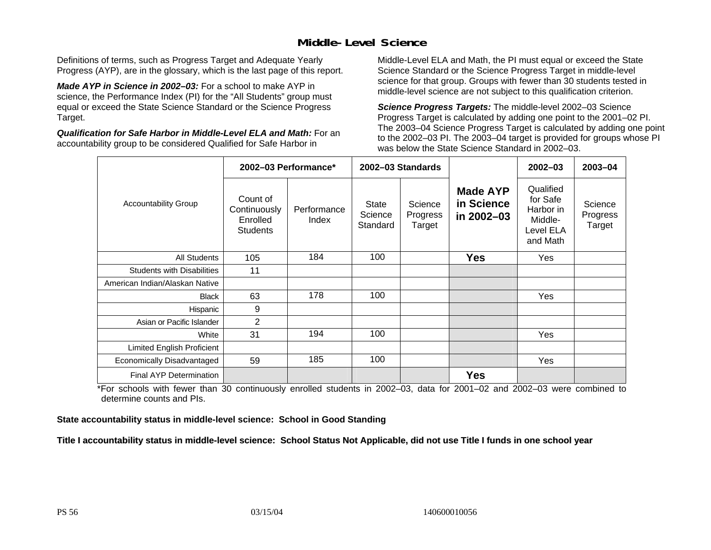### **Middle-Level Science**

Definitions of terms, such as Progress Target and Adequate Yearly Progress (AYP), are in the glossary, which is the last page of this report.

*Made AYP in Science in 2002–03:* For a school to make AYP in science, the Performance Index (PI) for the "All Students" group must equal or exceed the State Science Standard or the Science Progress Target.

*Qualification for Safe Harbor in Middle-Level ELA and Math:* For an accountability group to be considered Qualified for Safe Harbor in

Middle-Level ELA and Math, the PI must equal or exceed the State Science Standard or the Science Progress Target in middle-level science for that group. Groups with fewer than 30 students tested in middle-level science are not subject to this qualification criterion.

*Science Progress Targets:* The middle-level 2002–03 Science Progress Target is calculated by adding one point to the 2001–02 PI. The 2003–04 Science Progress Target is calculated by adding one point to the 2002–03 PI. The 2003–04 target is provided for groups whose PI was below the State Science Standard in 2002–03.

|                                   |                                                         | 2002-03 Performance* |                              | 2002-03 Standards             |                                             | $2002 - 03$                                                            | $2003 - 04$                   |
|-----------------------------------|---------------------------------------------------------|----------------------|------------------------------|-------------------------------|---------------------------------------------|------------------------------------------------------------------------|-------------------------------|
| <b>Accountability Group</b>       | Count of<br>Continuously<br>Enrolled<br><b>Students</b> | Performance<br>Index | State<br>Science<br>Standard | Science<br>Progress<br>Target | <b>Made AYP</b><br>in Science<br>in 2002-03 | Qualified<br>for Safe<br>Harbor in<br>Middle-<br>Level ELA<br>and Math | Science<br>Progress<br>Target |
| <b>All Students</b>               | 105                                                     | 184                  | 100                          |                               | <b>Yes</b>                                  | Yes                                                                    |                               |
| <b>Students with Disabilities</b> | 11                                                      |                      |                              |                               |                                             |                                                                        |                               |
| American Indian/Alaskan Native    |                                                         |                      |                              |                               |                                             |                                                                        |                               |
| <b>Black</b>                      | 63                                                      | 178                  | 100                          |                               |                                             | Yes                                                                    |                               |
| Hispanic                          | 9                                                       |                      |                              |                               |                                             |                                                                        |                               |
| Asian or Pacific Islander         | 2                                                       |                      |                              |                               |                                             |                                                                        |                               |
| White                             | 31                                                      | 194                  | 100                          |                               |                                             | Yes                                                                    |                               |
| Limited English Proficient        |                                                         |                      |                              |                               |                                             |                                                                        |                               |
| Economically Disadvantaged        | 59                                                      | 185                  | 100                          |                               |                                             | <b>Yes</b>                                                             |                               |
| Final AYP Determination           |                                                         |                      |                              |                               | <b>Yes</b>                                  |                                                                        |                               |

\*For schools with fewer than 30 continuously enrolled students in 2002–03, data for 2001–02 and 2002–03 were combined to determine counts and PIs.

**State accountability status in middle-level science: School in Good Standing** 

Title I accountability status in middle-level science: School Status Not Applicable, did not use Title I funds in one school year